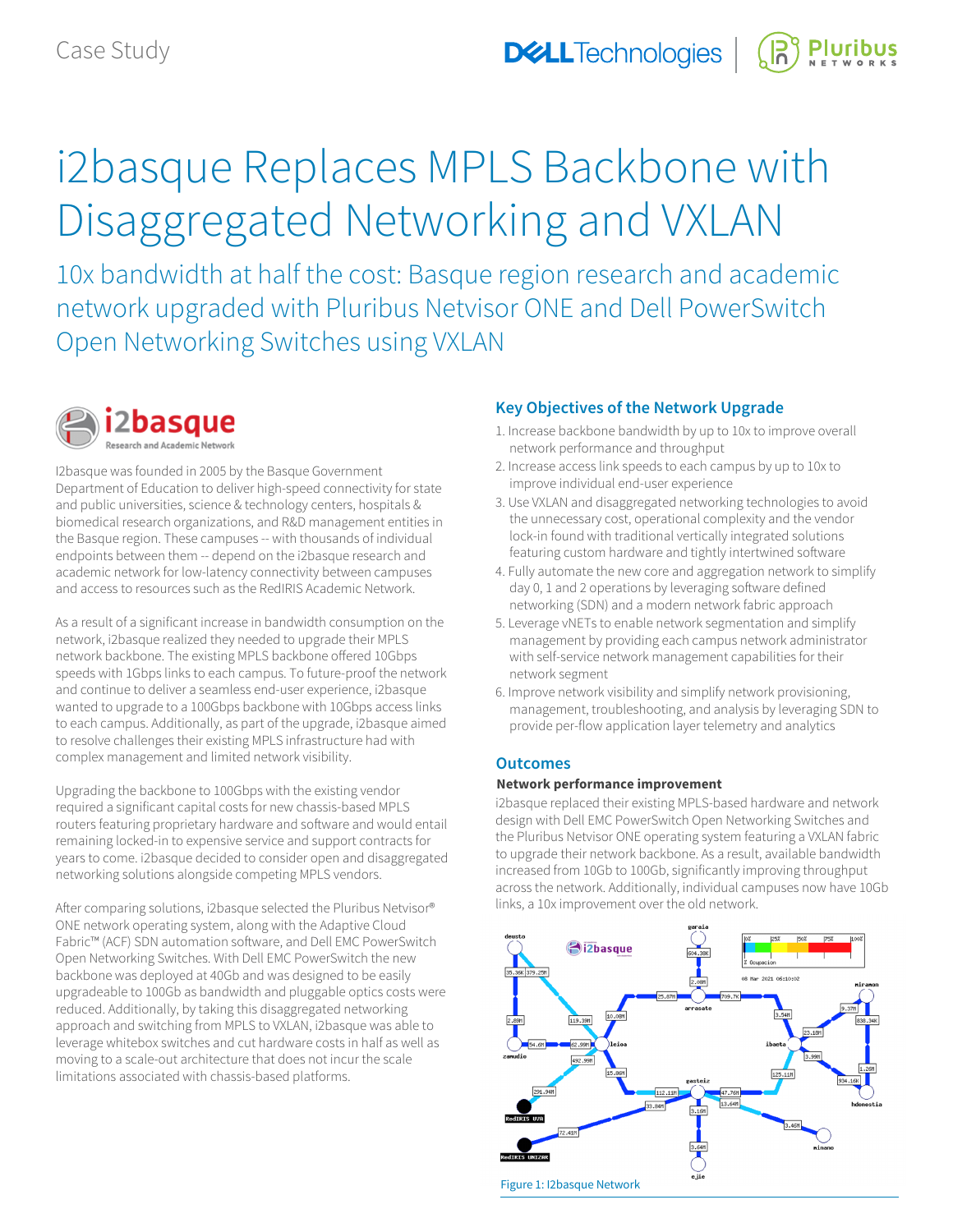# i2basque Replaces MPLS Backbone with Disaggregated Networking and VXLAN

10x bandwidth at half the cost: Basque region research and academic network upgraded with Pluribus Netvisor ONE and Dell PowerSwitch Open Networking Switches using VXLAN



I2basque was founded in 2005 by the Basque Government Department of Education to deliver high-speed connectivity for state and public universities, science & technology centers, hospitals & biomedical research organizations, and R&D management entities in the Basque region. These campuses -- with thousands of individual endpoints between them -- depend on the i2basque research and academic network for low-latency connectivity between campuses and access to resources such as the RedIRIS Academic Network.

As a result of a significant increase in bandwidth consumption on the network, i2basque realized they needed to upgrade their MPLS network backbone. The existing MPLS backbone offered 10Gbps speeds with 1Gbps links to each campus. To future-proof the network and continue to deliver a seamless end-user experience, i2basque wanted to upgrade to a 100Gbps backbone with 10Gbps access links to each campus. Additionally, as part of the upgrade, i2basque aimed to resolve challenges their existing MPLS infrastructure had with complex management and limited network visibility.

Upgrading the backbone to 100Gbps with the existing vendor required a significant capital costs for new chassis-based MPLS routers featuring proprietary hardware and software and would entail remaining locked-in to expensive service and support contracts for years to come. i2basque decided to consider open and disaggregated networking solutions alongside competing MPLS vendors.

After comparing solutions, i2basque selected the Pluribus Netvisor® ONE network operating system, along with the Adaptive Cloud Fabric™ (ACF) SDN automation software, and Dell EMC PowerSwitch Open Networking Switches. With Dell EMC PowerSwitch the new backbone was deployed at 40Gb and was designed to be easily upgradeable to 100Gb as bandwidth and pluggable optics costs were reduced. Additionally, by taking this disaggregated networking approach and switching from MPLS to VXLAN, i2basque was able to leverage whitebox switches and cut hardware costs in half as well as moving to a scale-out architecture that does not incur the scale limitations associated with chassis-based platforms.

# **Key Objectives of the Network Upgrade**

- 1. Increase backbone bandwidth by up to 10x to improve overall network performance and throughput
- 2. Increase access link speeds to each campus by up to 10x to improve individual end-user experience
- 3. Use VXLAN and disaggregated networking technologies to avoid the unnecessary cost, operational complexity and the vendor lock-in found with traditional vertically integrated solutions featuring custom hardware and tightly intertwined software
- 4. Fully automate the new core and aggregation network to simplify day 0, 1 and 2 operations by leveraging software defined networking (SDN) and a modern network fabric approach
- 5. Leverage vNETs to enable network segmentation and simplify management by providing each campus network administrator with self-service network management capabilities for their network segment
- 6. Improve network visibility and simplify network provisioning, management, troubleshooting, and analysis by leveraging SDN to provide per-flow application layer telemetry and analytics

# **Outcomes**

## **Network performance improvement**

i2basque replaced their existing MPLS-based hardware and network design with Dell EMC PowerSwitch Open Networking Switches and the Pluribus Netvisor ONE operating system featuring a VXLAN fabric to upgrade their network backbone. As a result, available bandwidth increased from 10Gb to 100Gb, significantly improving throughput across the network. Additionally, individual campuses now have 10Gb links, a 10x improvement over the old network.